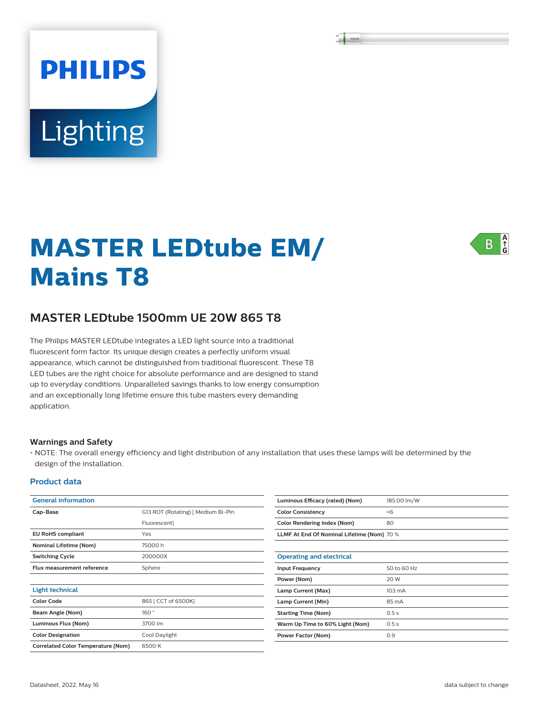# **PHILIPS Lighting**

## **MASTER LEDtube EM/ Mains T8**



### **MASTER LEDtube 1500mm UE 20W 865 T8**

The Philips MASTER LEDtube integrates a LED light source into a traditional fluorescent form factor. Its unique design creates a perfectly uniform visual appearance, which cannot be distinguished from traditional fluorescent. These T8 LED tubes are the right choice for absolute performance and are designed to stand up to everyday conditions. Unparalleled savings thanks to low energy consumption and an exceptionally long lifetime ensure this tube masters every demanding application.

#### **Warnings and Safety**

• NOTE: The overall energy efficiency and light distribution of any installation that uses these lamps will be determined by the design of the installation.

#### **Product data**

| <b>General information</b>                         |                                    |  |  |  |
|----------------------------------------------------|------------------------------------|--|--|--|
| Cap-Base                                           | G13 ROT (Rotating) [ Medium Bi-Pin |  |  |  |
|                                                    | <b>Fluorescent1</b>                |  |  |  |
| <b>EU RoHS compliant</b>                           | Yes                                |  |  |  |
| <b>Nominal Lifetime (Nom)</b>                      | 75000h                             |  |  |  |
| <b>Switching Cycle</b>                             | 200000X                            |  |  |  |
| Flux measurement reference                         | Sphere                             |  |  |  |
|                                                    |                                    |  |  |  |
| <b>Light technical</b>                             |                                    |  |  |  |
| Color Code                                         | 865   CCT of 6500K]                |  |  |  |
| Beam Angle (Nom)                                   | 160°                               |  |  |  |
| Luminous Flux (Nom)                                | 3700 lm                            |  |  |  |
| <b>Color Designation</b>                           | Cool Daylight                      |  |  |  |
| 6500K<br><b>Correlated Color Temperature (Nom)</b> |                                    |  |  |  |

| Luminous Efficacy (rated) (Nom)            | 185.00 lm/W      |  |  |
|--------------------------------------------|------------------|--|--|
| <b>Color Consistency</b>                   | $<$ 6            |  |  |
| <b>Color Rendering Index (Nom)</b>         | 80               |  |  |
| LLMF At End Of Nominal Lifetime (Nom) 70 % |                  |  |  |
|                                            |                  |  |  |
| <b>Operating and electrical</b>            |                  |  |  |
| <b>Input Frequency</b>                     | 50 to 60 Hz      |  |  |
| Power (Nom)                                | 20 W             |  |  |
| Lamp Current (Max)                         | $103 \text{ mA}$ |  |  |
| Lamp Current (Min)                         | 85 mA            |  |  |
| <b>Starting Time (Nom)</b>                 | 0.5s             |  |  |
| Warm Up Time to 60% Light (Nom)            | 0.5s             |  |  |
| <b>Power Factor (Nom)</b>                  | 0.9              |  |  |
|                                            |                  |  |  |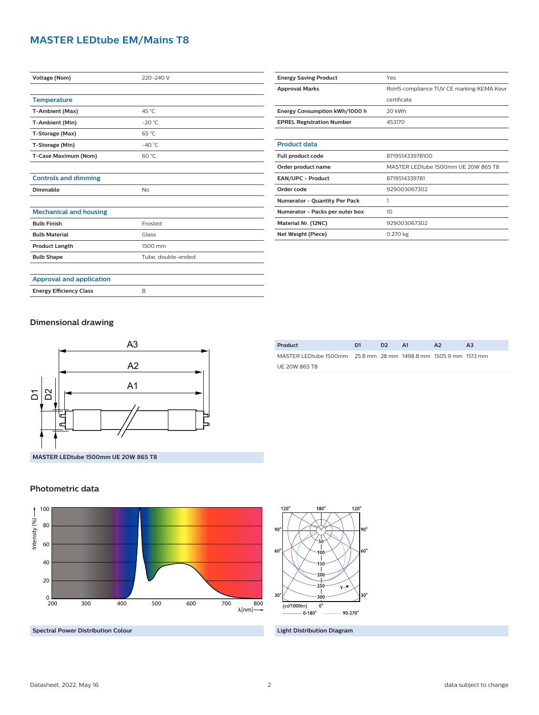#### **MASTER LEDtube EM/Mains T8**

| <b>Voltage (Nom)</b>            | 220-240 V          |  |  |  |  |
|---------------------------------|--------------------|--|--|--|--|
|                                 |                    |  |  |  |  |
| <b>Temperature</b>              |                    |  |  |  |  |
| T-Ambient (Max)                 | 45 °C              |  |  |  |  |
| T-Ambient (Min)                 | $-20$ °C           |  |  |  |  |
| T-Storage (Max)                 | 65 °C              |  |  |  |  |
| T-Storage (Min)                 | $-40^{\circ}$ C    |  |  |  |  |
| T-Case Maximum (Nom)            | 60 °C              |  |  |  |  |
|                                 |                    |  |  |  |  |
| <b>Controls and dimming</b>     |                    |  |  |  |  |
| Dimmable                        | <b>No</b>          |  |  |  |  |
|                                 |                    |  |  |  |  |
| <b>Mechanical and housing</b>   |                    |  |  |  |  |
| <b>Bulb Finish</b>              | Frosted            |  |  |  |  |
| <b>Bulb Material</b>            | Glass              |  |  |  |  |
| <b>Product Length</b>           | 1500 mm            |  |  |  |  |
| <b>Bulb Shape</b>               | Tube, double-ended |  |  |  |  |
|                                 |                    |  |  |  |  |
| <b>Approval and application</b> |                    |  |  |  |  |
| <b>Energy Efficiency Class</b>  | B                  |  |  |  |  |

| <b>Energy Saving Product</b>         | Yes                                      |  |  |  |
|--------------------------------------|------------------------------------------|--|--|--|
| <b>Approval Marks</b>                | RoHS compliance TUV CE marking KEMA Keur |  |  |  |
|                                      | certificate                              |  |  |  |
| Energy Consumption kWh/1000 h        | 20 kWh                                   |  |  |  |
| <b>EPREL Registration Number</b>     | 453170                                   |  |  |  |
|                                      |                                          |  |  |  |
| <b>Product data</b>                  |                                          |  |  |  |
| Full product code                    | 871951433978100                          |  |  |  |
| Order product name                   | MASTER LEDtube 1500mm UE 20W 865 T8      |  |  |  |
| <b>EAN/UPC - Product</b>             | 8719514339781                            |  |  |  |
| Order code                           | 929003067302                             |  |  |  |
| <b>Numerator - Quantity Per Pack</b> | 1                                        |  |  |  |
| Numerator - Packs per outer box      | 10                                       |  |  |  |
| Material Nr. (12NC)                  | 929003067302                             |  |  |  |
| Net Weight (Piece)                   | 0.270 kg                                 |  |  |  |

#### **Dimensional drawing**



| Product                                                         | D1 | D <sub>2</sub> | <b>A1</b> | $\mathbf{A}$ | A <sub>3</sub> |
|-----------------------------------------------------------------|----|----------------|-----------|--------------|----------------|
| MASTER LEDtube 1500mm 25.8 mm 28 mm 1498.8 mm 1505.9 mm 1513 mm |    |                |           |              |                |
| UE 20W 865 T8                                                   |    |                |           |              |                |

#### **Photometric data**



**Spectral Power Distribution Colour Light Distribution Diagram**